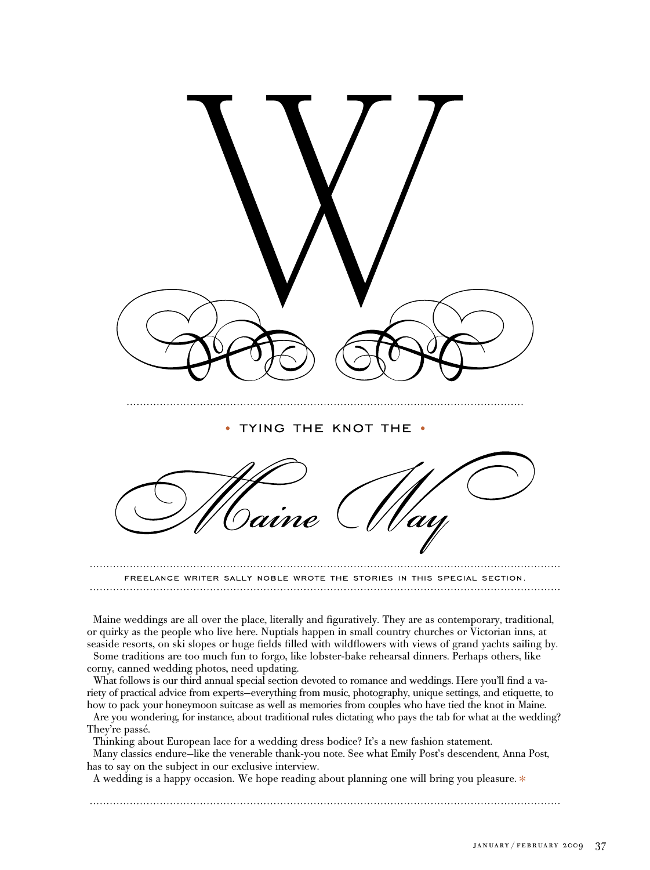

Maine weddings are all over the place, literally and figuratively. They are as contemporary, traditional, or quirky as the people who live here. Nuptials happen in small country churches or Victorian inns, at seaside resorts, on ski slopes or huge fields filled with wildflowers with views of grand yachts sailing by. Some traditions are too much fun to forgo, like lobster-bake rehearsal dinners. Perhaps others, like corny, canned wedding photos, need updating.

What follows is our third annual special section devoted to romance and weddings. Here you'll find a variety of practical advice from experts—everything from music, photography, unique settings, and etiquette, to how to pack your honeymoon suitcase as well as memories from couples who have tied the knot in Maine.

Are you wondering, for instance, about traditional rules dictating who pays the tab for what at the wedding? They're passé.

Thinking about European lace for a wedding dress bodice? It's a new fashion statement.

Many classics endure—like the venerable thank-you note. See what Emily Post's descendent, Anna Post, has to say on the subject in our exclusive interview.

A wedding is a happy occasion. We hope reading about planning one will bring you pleasure.  $*$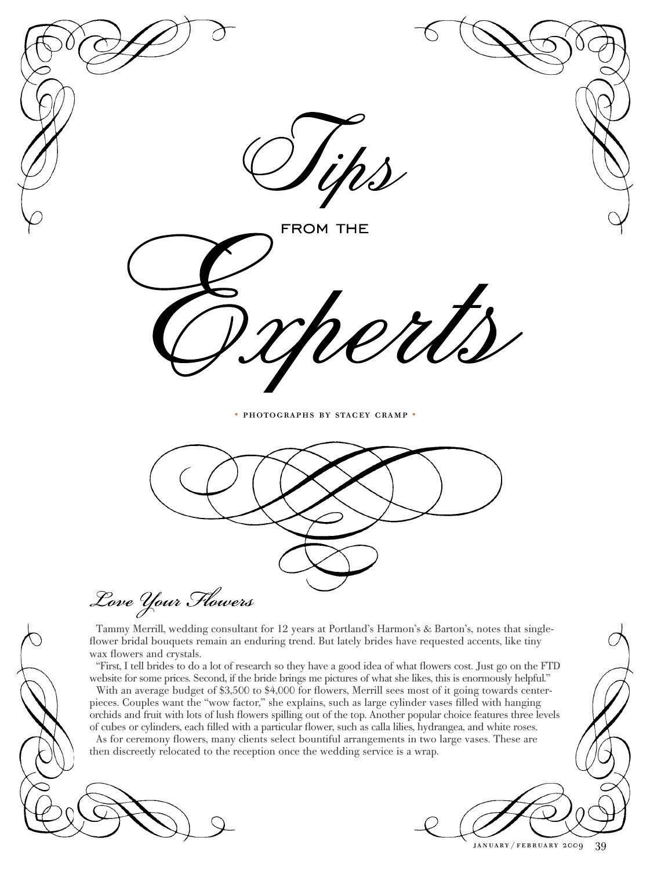

january / february 2009 39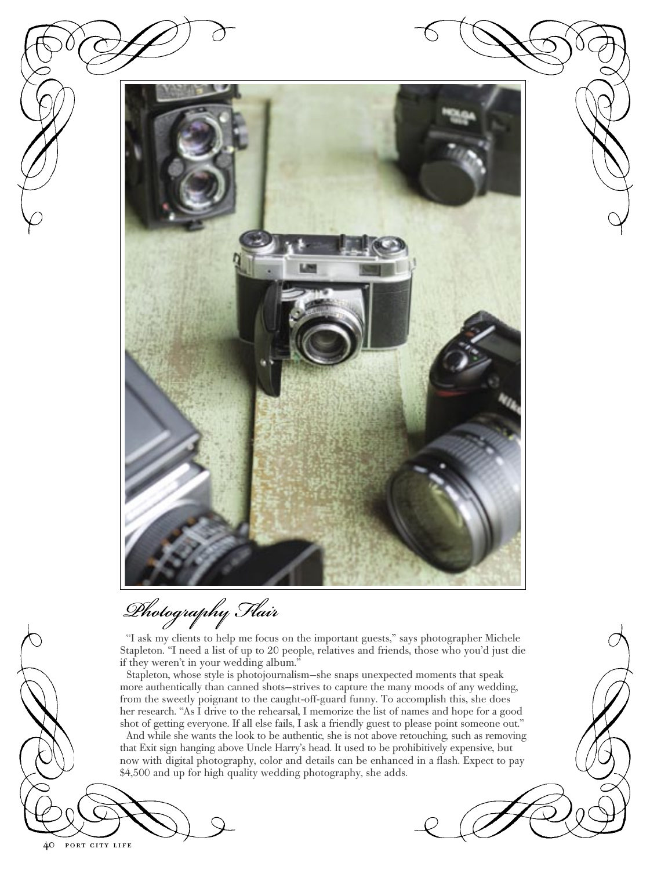

Dhotography Flair

"I ask my clients to help me focus on the important guests," says photographer Michele Stapleton. "I need a list of up to 20 people, relatives and friends, those who you'd just die if they weren't in your wedding album."

Stapleton, whose style is photojournalism—she snaps unexpected moments that speak more authentically than canned shots—strives to capture the many moods of any wedding, from the sweetly poignant to the caught-off-guard funny. To accomplish this, she does her research. "As I drive to the rehearsal, I memorize the list of names and hope for a good shot of getting everyone. If all else fails, I ask a friendly guest to please point someone out."

And while she wants the look to be authentic, she is not above retouching, such as removing that Exit sign hanging above Uncle Harry's head. It used to be prohibitively expensive, but now with digital photography, color and details can be enhanced in a flash. Expect to pay \$4,500 and up for high quality wedding photography, she adds.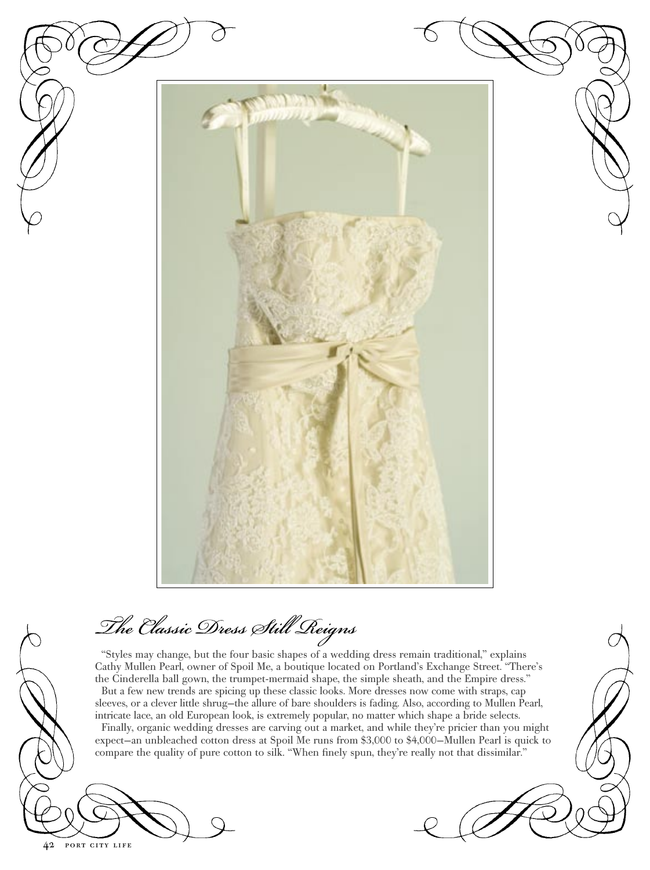

The Classic Dress Still Reigns

"Styles may change, but the four basic shapes of a wedding dress remain traditional," explains Cathy Mullen Pearl, owner of Spoil Me, a boutique located on Portland's Exchange Street. "There's the Cinderella ball gown, the trumpet-mermaid shape, the simple sheath, and the Empire dress." But a few new trends are spicing up these classic looks. More dresses now come with straps, cap sleeves, or a clever little shrug—the allure of bare shoulders is fading. Also, according to Mullen Pearl, intricate lace, an old European look, is extremely popular, no matter which shape a bride selects. Finally, organic wedding dresses are carving out a market, and while they're pricier than you might expect—an unbleached cotton dress at Spoil Me runs from \$3,000 to \$4,000—Mullen Pearl is quick to compare the quality of pure cotton to silk. "When finely spun, they're really not that dissimilar."

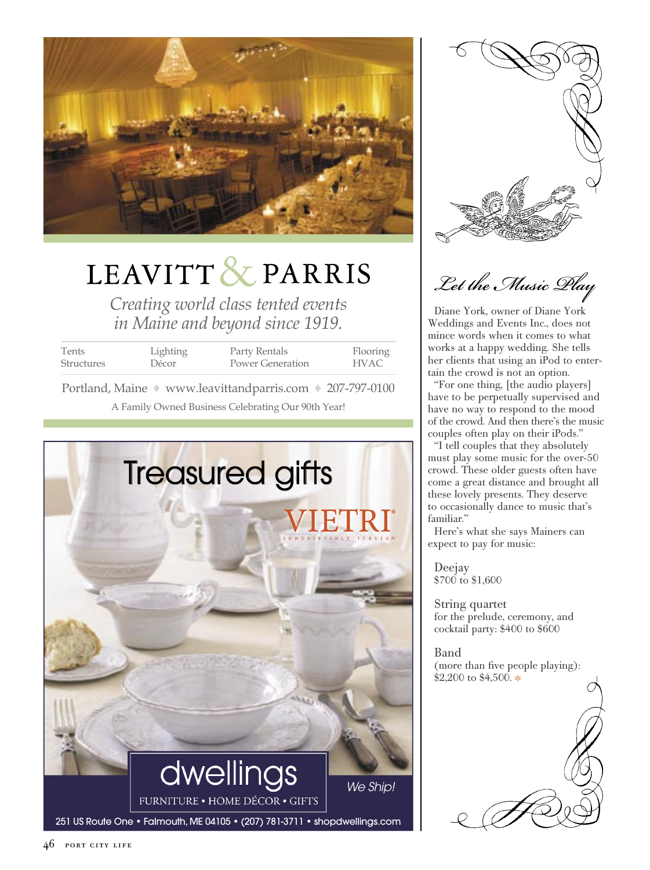

# LEAVITT & PARRIS

*Creating world class tented events in Maine and beyond since 1919.*

| Tents             | Lighting | Party Rentals    | Flooring |
|-------------------|----------|------------------|----------|
| <b>Structures</b> | Décor    | Power Generation | HVAC     |
|                   |          |                  |          |

A Family Owned Business Celebrating Our 90th Year! Portland, Maine ◆ www.leavittandparris.com ◆ 207-797-0100





Let the Music Play

Diane York, owner of Diane York Weddings and Events Inc., does not mince words when it comes to what works at a happy wedding. She tells her clients that using an iPod to entertain the crowd is not an option.

"For one thing, [the audio players] have to be perpetually supervised and have no way to respond to the mood of the crowd. And then there's the music couples often play on their iPods."

"I tell couples that they absolutely must play some music for the over-50 crowd. These older guests often have come a great distance and brought all these lovely presents. They deserve to occasionally dance to music that's familiar."

Here's what she says Mainers can expect to pay for music:

Deejay \$700 to \$1,600

String quartet for the prelude, ceremony, and cocktail party: \$400 to \$600

Band (more than five people playing): \$2,200 to \$4,500.

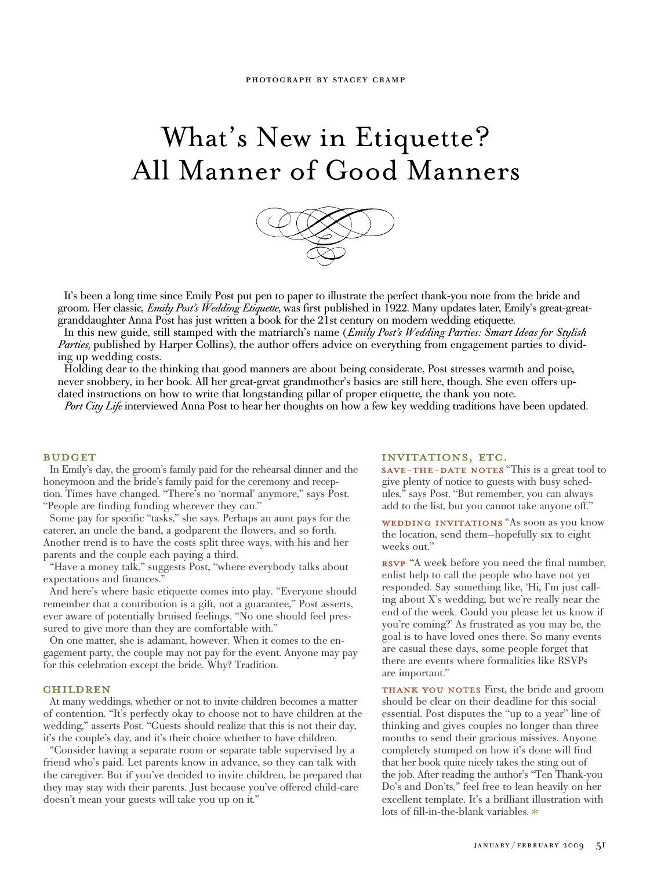## What's New in Etiquette? All Manner of Good Manners



It's been a long time since Emily Post put pen to paper to illustrate the perfect thank-you note from the bride and groom. Her classic, *Emily Post's Wedding Etiquette,* was first published in 1922. Many updates later, Emily's great-greatgranddaughter Anna Post has just written a book for the 21st century on modern wedding etiquette.

In this new guide, still stamped with the matriarch's name (*Emily Post's Wedding Parties: Smart Ideas for Stylish Parties,* published by Harper Collins), the author offers advice on everything from engagement parties to dividing up wedding costs.

Holding dear to the thinking that good manners are about being considerate, Post stresses warmth and poise, never snobbery, in her book. All her great-great grandmother's basics are still here, though. She even offers updated instructions on how to write that longstanding pillar of proper etiquette, the thank you note.

*Port City Life* interviewed Anna Post to hear her thoughts on how a few key wedding traditions have been updated.

#### **BUDGET**

In Emily's day, the groom's family paid for the rehearsal dinner and the honeymoon and the bride's family paid for the ceremony and reception. Times have changed. "There's no 'normal' anymore," says Post. "People are finding funding wherever they can."

Some pay for specific "tasks," she says. Perhaps an aunt pays for the caterer, an uncle the band, a godparent the flowers, and so forth. Another trend is to have the costs split three ways, with his and her parents and the couple each paying a third.

"Have a money talk," suggests Post, "where everybody talks about expectations and finances.

And here's where basic etiquette comes into play. "Everyone should remember that a contribution is a gift, not a guarantee," Post asserts, ever aware of potentially bruised feelings. "No one should feel pressured to give more than they are comfortable with."

On one matter, she is adamant, however. When it comes to the engagement party, the couple may not pay for the event. Anyone may pay for this celebration except the bride. Why? Tradition.

#### **CHILDREN**

At many weddings, whether or not to invite children becomes a matter of contention. "It's perfectly okay to choose not to have children at the wedding," asserts Post. "Guests should realize that this is not their day, it's the couple's day, and it's their choice whether to have children.

"Consider having a separate room or separate table supervised by a friend who's paid. Let parents know in advance, so they can talk with the caregiver. But if you've decided to invite children, be prepared that they may stay with their parents. Just because you've offered child-care doesn't mean your guests will take you up on it."

#### INVITATIONS, ETC.

SAVE-THE-DATE NOTES "This is a great tool to give plenty of notice to guests with busy schedules," says Post. "But remember, you can always add to the list, but you cannot take anyone off."

WEDDING INVITATIONS "As soon as you know the location, send them—hopefully six to eight weeks out."

RSVP "A week before you need the final number, enlist help to call the people who have not yet responded. Say something like, 'Hi, I'm just calling about X's wedding, but we're really near the end of the week. Could you please let us know if you're coming?' As frustrated as you may be, the goal is to have loved ones there. So many events are casual these days, some people forget that there are events where formalities like RSVPs are important."

THANK YOU NOTES First, the bride and groom should be clear on their deadline for this social essential. Post disputes the "up to a year" line of thinking and gives couples no longer than three months to send their gracious missives. Anyone completely stumped on how it's done will find that her book quite nicely takes the sting out of the job. After reading the author's "Ten Thank-you Do's and Don'ts," feel free to lean heavily on her excellent template. It's a brilliant illustration with lots of fill-in-the-blank variables.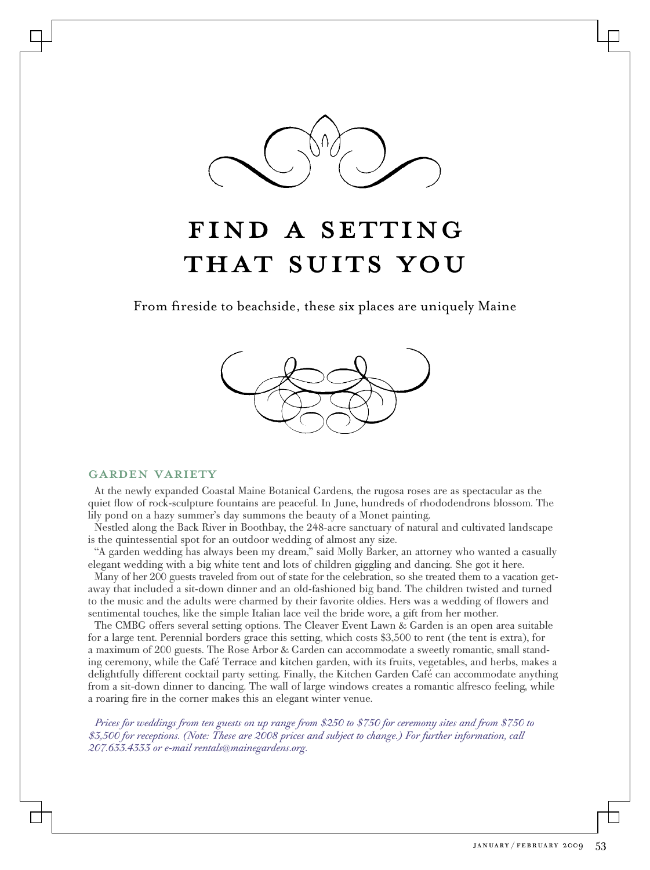

### FIND A SETTING THAT SUITS YOU

From fireside to beachside, these six places are uniquely Maine



#### garden variety

At the newly expanded Coastal Maine Botanical Gardens, the rugosa roses are as spectacular as the quiet flow of rock-sculpture fountains are peaceful. In June, hundreds of rhododendrons blossom. The lily pond on a hazy summer's day summons the beauty of a Monet painting.

Nestled along the Back River in Boothbay, the 248-acre sanctuary of natural and cultivated landscape is the quintessential spot for an outdoor wedding of almost any size.

"A garden wedding has always been my dream," said Molly Barker, an attorney who wanted a casually elegant wedding with a big white tent and lots of children giggling and dancing. She got it here.

Many of her 200 guests traveled from out of state for the celebration, so she treated them to a vacation getaway that included a sit-down dinner and an old-fashioned big band. The children twisted and turned to the music and the adults were charmed by their favorite oldies. Hers was a wedding of flowers and sentimental touches, like the simple Italian lace veil the bride wore, a gift from her mother.

The CMBG offers several setting options. The Cleaver Event Lawn & Garden is an open area suitable for a large tent. Perennial borders grace this setting, which costs \$3,500 to rent (the tent is extra), for a maximum of 200 guests. The Rose Arbor & Garden can accommodate a sweetly romantic, small standing ceremony, while the Café Terrace and kitchen garden, with its fruits, vegetables, and herbs, makes a delightfully different cocktail party setting. Finally, the Kitchen Garden Café can accommodate anything from a sit-down dinner to dancing. The wall of large windows creates a romantic alfresco feeling, while a roaring fire in the corner makes this an elegant winter venue.

*Prices for weddings from ten guests on up range from \$250 to \$750 for ceremony sites and from \$750 to \$3,500 for receptions. (Note: These are 2008 prices and subject to change.) For further information, call 207.633.4333 or e-mail rentals@mainegardens.org.*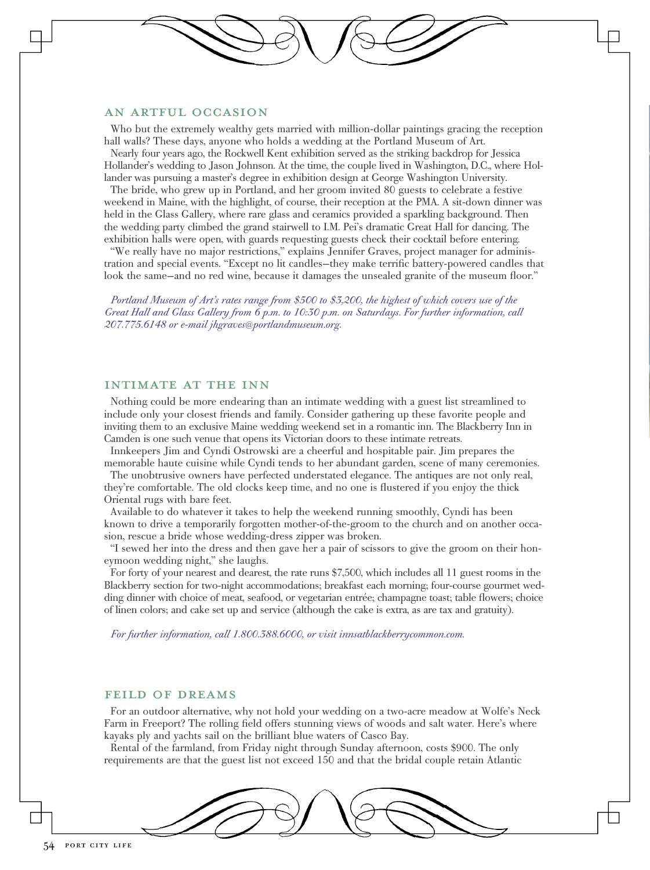#### an artful occasion

Who but the extremely wealthy gets married with million-dollar paintings gracing the reception hall walls? These days, anyone who holds a wedding at the Portland Museum of Art.

Nearly four years ago, the Rockwell Kent exhibition served as the striking backdrop for Jessica Hollander's wedding to Jason Johnson. At the time, the couple lived in Washington, D.C., where Hollander was pursuing a master's degree in exhibition design at George Washington University.

The bride, who grew up in Portland, and her groom invited 80 guests to celebrate a festive weekend in Maine, with the highlight, of course, their reception at the PMA. A sit-down dinner was held in the Glass Gallery, where rare glass and ceramics provided a sparkling background. Then the wedding party climbed the grand stairwell to I.M. Pei's dramatic Great Hall for dancing. The exhibition halls were open, with guards requesting guests check their cocktail before entering.

"We really have no major restrictions," explains Jennifer Graves, project manager for administration and special events. "Except no lit candles—they make terrific battery-powered candles that look the same—and no red wine, because it damages the unsealed granite of the museum floor."

*Portland Museum of Art's rates range from \$500 to \$3,200, the highest of which covers use of the Great Hall and Glass Gallery from 6 p.m. to 10:30 p.m. on Saturdays. For further information, call 207.775.6148 or e-mail jhgraves@portlandmuseum.org.*

#### intimate at the inn

Nothing could be more endearing than an intimate wedding with a guest list streamlined to include only your closest friends and family. Consider gathering up these favorite people and inviting them to an exclusive Maine wedding weekend set in a romantic inn. The Blackberry Inn in Camden is one such venue that opens its Victorian doors to these intimate retreats.

Innkeepers Jim and Cyndi Ostrowski are a cheerful and hospitable pair. Jim prepares the memorable haute cuisine while Cyndi tends to her abundant garden, scene of many ceremonies.

The unobtrusive owners have perfected understated elegance. The antiques are not only real, they're comfortable. The old clocks keep time, and no one is flustered if you enjoy the thick Oriental rugs with bare feet.

Available to do whatever it takes to help the weekend running smoothly, Cyndi has been known to drive a temporarily forgotten mother-of-the-groom to the church and on another occasion, rescue a bride whose wedding-dress zipper was broken.

"I sewed her into the dress and then gave her a pair of scissors to give the groom on their honeymoon wedding night," she laughs.

For forty of your nearest and dearest, the rate runs \$7,500, which includes all 11 guest rooms in the Blackberry section for two-night accommodations; breakfast each morning; four-course gourmet wedding dinner with choice of meat, seafood, or vegetarian entrée; champagne toast; table flowers; choice of linen colors; and cake set up and service (although the cake is extra, as are tax and gratuity).

*For further information, call 1.800.388.6000, or visit innsatblackberrycommon.com.*

#### feild of dreams

For an outdoor alternative, why not hold your wedding on a two-acre meadow at Wolfe's Neck Farm in Freeport? The rolling field offers stunning views of woods and salt water. Here's where kayaks ply and yachts sail on the brilliant blue waters of Casco Bay.

Rental of the farmland, from Friday night through Sunday afternoon, costs \$900. The only requirements are that the guest list not exceed 150 and that the bridal couple retain Atlantic